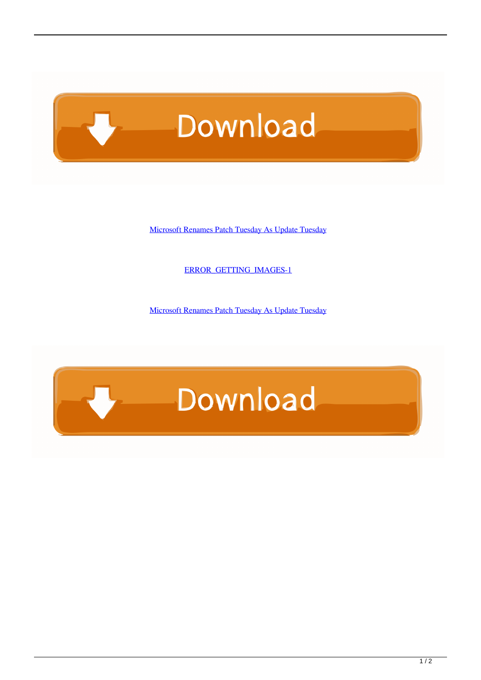# Download

[Microsoft Renames Patch Tuesday As Update Tuesday](https://imgfil.com/1uivs9)

[ERROR\\_GETTING\\_IMAGES-1](https://imgfil.com/1uivs9)

[Microsoft Renames Patch Tuesday As Update Tuesday](https://imgfil.com/1uivs9)

## Download